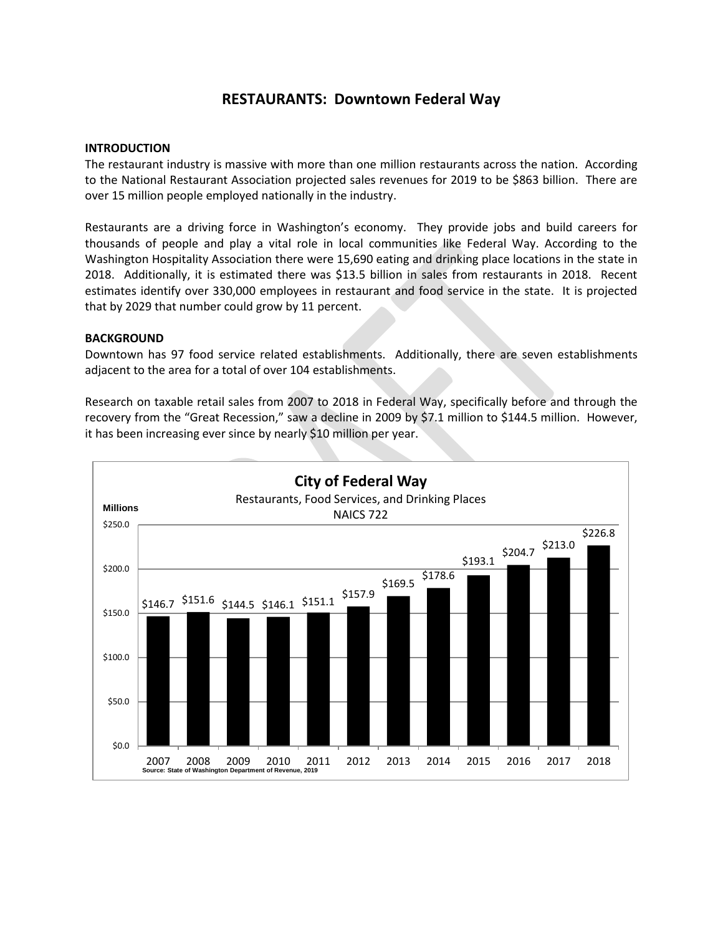# **RESTAURANTS: Downtown Federal Way**

## **INTRODUCTION**

The restaurant industry is massive with more than one million restaurants across the nation. According to the National Restaurant Association projected sales revenues for 2019 to be \$863 billion. There are over 15 million people employed nationally in the industry.

Restaurants are a driving force in Washington's economy. They provide jobs and build careers for thousands of people and play a vital role in local communities like Federal Way. According to the Washington Hospitality Association there were 15,690 eating and drinking place locations in the state in 2018. Additionally, it is estimated there was \$13.5 billion in sales from restaurants in 2018. Recent estimates identify over 330,000 employees in restaurant and food service in the state. It is projected that by 2029 that number could grow by 11 percent.

## **BACKGROUND**

Downtown has 97 food service related establishments. Additionally, there are seven establishments adjacent to the area for a total of over 104 establishments.

Research on taxable retail sales from 2007 to 2018 in Federal Way, specifically before and through the recovery from the "Great Recession," saw a decline in 2009 by \$7.1 million to \$144.5 million. However, it has been increasing ever since by nearly \$10 million per year.

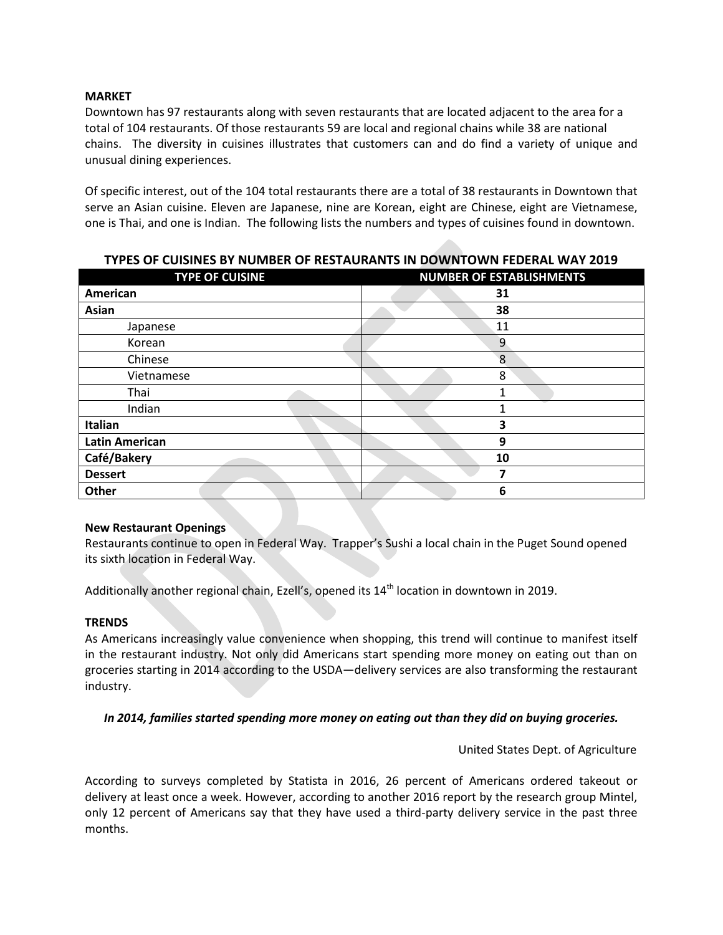# **MARKET**

Downtown has 97 restaurants along with seven restaurants that are located adjacent to the area for a total of 104 restaurants. Of those restaurants 59 are local and regional chains while 38 are national chains. The diversity in cuisines illustrates that customers can and do find a variety of unique and unusual dining experiences.

Of specific interest, out of the 104 total restaurants there are a total of 38 restaurants in Downtown that serve an Asian cuisine. Eleven are Japanese, nine are Korean, eight are Chinese, eight are Vietnamese, one is Thai, and one is Indian. The following lists the numbers and types of cuisines found in downtown.

| <b>TYPE OF CUISINE</b> | <b>NUMBER OF ESTABLISHMENTS</b> |
|------------------------|---------------------------------|
| American               | 31                              |
| Asian                  | 38                              |
| Japanese               | 11                              |
| Korean                 | 9                               |
| Chinese                | 8                               |
| Vietnamese             | 8                               |
| Thai                   | 1                               |
| Indian                 | ◢                               |
| Italian                | 3                               |
| <b>Latin American</b>  | 9                               |
| Café/Bakery            | 10                              |
| <b>Dessert</b>         | 7                               |
| Other                  | 6                               |

# **TYPES OF CUISINES BY NUMBER OF RESTAURANTS IN DOWNTOWN FEDERAL WAY 2019**

## **New Restaurant Openings**

Restaurants continue to open in Federal Way. Trapper's Sushi a local chain in the Puget Sound opened its sixth location in Federal Way.

Additionally another regional chain, Ezell's, opened its 14<sup>th</sup> location in downtown in 2019.

## **TRENDS**

As Americans increasingly value convenience when shopping, this trend will continue to manifest itself in the restaurant industry. Not only did Americans start spending more money on eating out than on groceries starting in 2014 according to the USDA—delivery services are also transforming the restaurant industry.

## *In 2014, families started spending more money on eating out than they did on buying groceries.*

## United States Dept. of Agriculture

According to surveys completed by Statista in 2016, 26 percent of Americans ordered takeout or delivery at least once a week. However, according to another 2016 report by the research group Mintel, only 12 percent of Americans say that they have used a third-party delivery service in the past three months.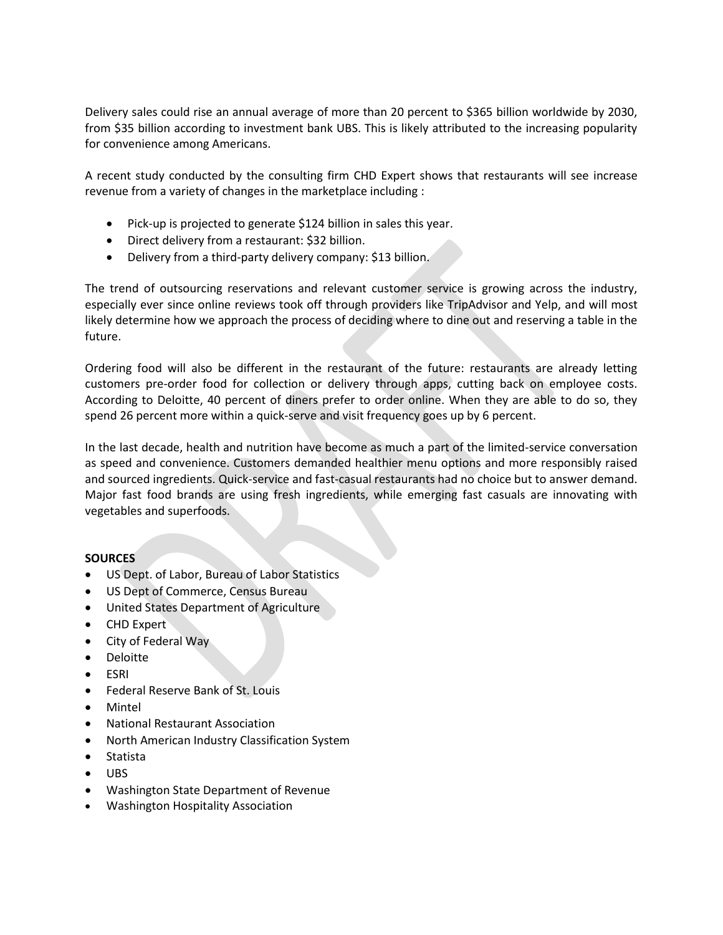Delivery sales could rise an annual average of more than 20 percent to \$365 billion worldwide by 2030, from \$35 billion according to investment bank UBS. This is likely attributed to the increasing popularity for convenience among Americans.

A recent study conducted by the consulting firm CHD Expert shows that restaurants will see increase revenue from a variety of changes in the marketplace including :

- Pick-up is projected to generate \$124 billion in sales this year.
- Direct delivery from a restaurant: \$32 billion.
- Delivery from a third-party delivery company: \$13 billion.

The trend of outsourcing reservations and relevant customer service is growing across the industry, especially ever since online reviews took off through providers like TripAdvisor and Yelp, and will most likely determine how we approach the process of deciding where to dine out and reserving a table in the future.

Ordering food will also be different in the restaurant of the future: restaurants are already letting customers pre-order food for collection or delivery through apps, cutting back on employee costs. According to Deloitte, 40 percent of diners prefer to order online. When they are able to do so, they spend 26 percent more within a quick-serve and visit frequency goes up by 6 percent.

In the last decade, health and nutrition have become as much a part of the limited-service conversation as speed and convenience. Customers demanded healthier menu options and more responsibly raised and sourced ingredients. Quick-service and fast-casual restaurants had no choice but to answer demand. Major fast food brands are using fresh ingredients, while emerging fast casuals are innovating with vegetables and superfoods.

## **SOURCES**

- US Dept. of Labor, Bureau of Labor Statistics
- US Dept of Commerce, Census Bureau
- United States Department of Agriculture
- CHD Expert
- City of Federal Way
- Deloitte
- ESRI
- Federal Reserve Bank of St. Louis
- Mintel
- National Restaurant Association
- North American Industry Classification System
- Statista
- UBS
- Washington State Department of Revenue
- Washington Hospitality Association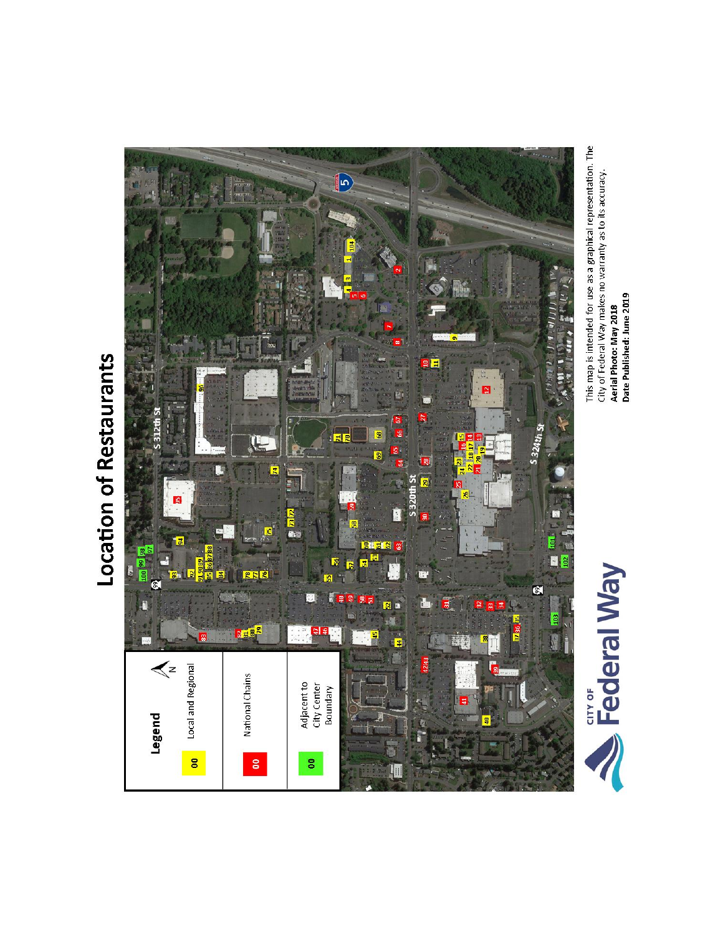Location of Restaurants



This map is intended for use as a graphical representation. The<br>City of Federal Way makes no warranty as to its accuracy.<br>**Aerial Photo: May 2018**<br>**Date Published: June 2019** 

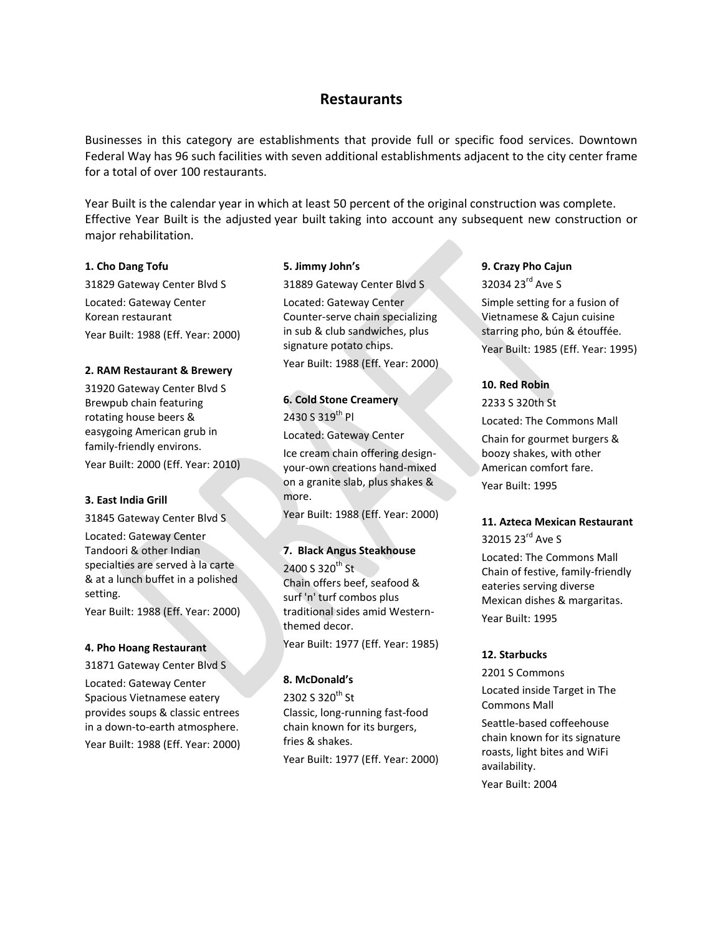# **Restaurants**

Businesses in this category are establishments that provide full or specific food services. Downtown Federal Way has 96 such facilities with seven additional establishments adjacent to the city center frame for a total of over 100 restaurants.

Year Built is the calendar year in which at least 50 percent of the original construction was complete. Effective Year Built is the adjusted year built taking into account any subsequent new construction or major rehabilitation.

### **1. Cho Dang Tofu**

31829 Gateway Center Blvd S Located: Gateway Center Korean restaurant Year Built: 1988 (Eff. Year: 2000)

#### **2. RAM Restaurant & Brewery**

31920 Gateway Center Blvd S Brewpub chain featuring rotating house beers & easygoing American grub in family-friendly environs.

Year Built: 2000 (Eff. Year: 2010)

### **3. East India Grill**

31845 Gateway Center Blvd S

Located: Gateway Center Tandoori & other Indian specialties are served à la carte & at a lunch buffet in a polished setting.

Year Built: 1988 (Eff. Year: 2000)

#### **4. Pho Hoang Restaurant**

31871 Gateway Center Blvd S Located: Gateway Center Spacious Vietnamese eatery provides soups & classic entrees in a down-to-earth atmosphere. Year Built: 1988 (Eff. Year: 2000)

#### **5. Jimmy John's**

31889 Gateway Center Blvd S Located: Gateway Center Counter-serve chain specializing in sub & club sandwiches, plus signature potato chips. Year Built: 1988 (Eff. Year: 2000)

## **6. Cold Stone Creamery** 2430 S 319th Pl

Located: Gateway Center Ice cream chain offering designyour-own creations hand-mixed on a granite slab, plus shakes & more.

Year Built: 1988 (Eff. Year: 2000)

#### **7. Black Angus Steakhouse**

 $2400 S 320$ <sup>th</sup> St. Chain offers beef, seafood & surf 'n' turf combos plus traditional sides amid Westernthemed decor.

Year Built: 1977 (Eff. Year: 1985)

#### **8. McDonald's**

2302 S 320<sup>th</sup> St Classic, long-running fast-food chain known for its burgers, fries & shakes. Year Built: 1977 (Eff. Year: 2000)

## **9. Crazy Pho Cajun**

32034 23<sup>rd</sup> Ave S Simple setting for a fusion of Vietnamese & Cajun cuisine starring pho, bún & étouffée. Year Built: 1985 (Eff. Year: 1995)

### **10. Red Robin**

2233 S 320th St Located: The Commons Mall Chain for gourmet burgers & boozy shakes, with other American comfort fare. Year Built: 1995

## **11. Azteca Mexican Restaurant**

32015 23<sup>rd</sup> Ave S

Located: The Commons Mall Chain of festive, family-friendly eateries serving diverse Mexican dishes & margaritas. Year Built: 1995

#### **12. Starbucks**

2201 S Commons Located inside Target in The Commons Mall Seattle-based coffeehouse chain known for its signature roasts, light bites and WiFi availability. Year Built: 2004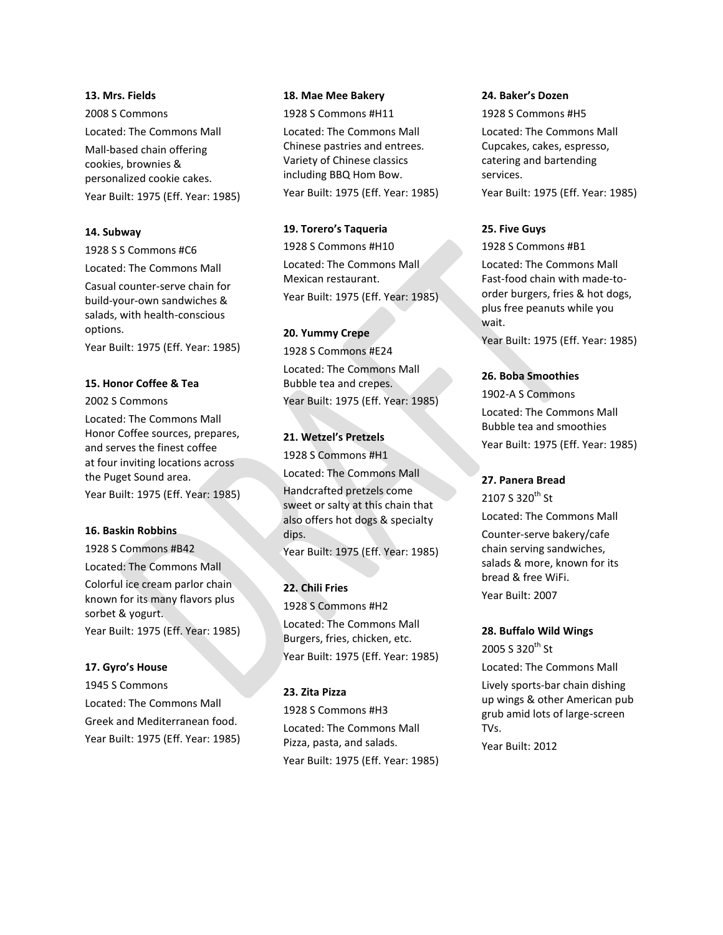#### **13. Mrs. Fields**

2008 S Commons Located: The Commons Mall Mall-based chain offering cookies, brownies & personalized cookie cakes. Year Built: 1975 (Eff. Year: 1985)

#### **14. Subway**

1928 S S Commons #C6

Located: The Commons Mall

Casual counter-serve chain for build-your-own sandwiches & salads, with health-conscious options.

Year Built: 1975 (Eff. Year: 1985)

#### **15. Honor Coffee & Tea**

2002 S Commons

Located: The Commons Mall Honor Coffee sources, prepares, and serves the finest coffee at four inviting locations across the Puget Sound area. Year Built: 1975 (Eff. Year: 1985)

#### **16. Baskin Robbins**

1928 S Commons #B42 Located: The Commons Mall Colorful ice cream parlor chain known for its many flavors plus sorbet & yogurt. Year Built: 1975 (Eff. Year: 1985)

#### **17. Gyro's House**

1945 S Commons Located: The Commons Mall Greek and Mediterranean food. Year Built: 1975 (Eff. Year: 1985)

### **18. Mae Mee Bakery**

1928 S Commons #H11

Located: The Commons Mall Chinese pastries and entrees. Variety of Chinese classics including BBQ Hom Bow. Year Built: 1975 (Eff. Year: 1985)

#### **19. Torero's Taqueria**

1928 S Commons #H10 Located: The Commons Mall Mexican restaurant. Year Built: 1975 (Eff. Year: 1985)

#### **20. Yummy Crepe**

1928 S Commons #E24 Located: The Commons Mall Bubble tea and crepes. Year Built: 1975 (Eff. Year: 1985)

## **21. Wetzel's Pretzels**

1928 S Commons #H1 Located: The Commons Mall Handcrafted pretzels come sweet or salty at this chain that also offers hot dogs & specialty dips. Year Built: 1975 (Eff. Year: 1985)

**22. Chili Fries** 1928 S Commons #H2 Located: The Commons Mall Burgers, fries, chicken, etc. Year Built: 1975 (Eff. Year: 1985)

## **23. Zita Pizza**

1928 S Commons #H3 Located: The Commons Mall Pizza, pasta, and salads. Year Built: 1975 (Eff. Year: 1985)

#### **24. Baker's Dozen**

1928 S Commons #H5 Located: The Commons Mall Cupcakes, cakes, espresso, catering and bartending services. Year Built: 1975 (Eff. Year: 1985)

### **25. Five Guys**

1928 S Commons #B1

Located: The Commons Mall Fast-food chain with made-toorder burgers, fries & hot dogs, plus free peanuts while you wait.

Year Built: 1975 (Eff. Year: 1985)

## **26. Boba Smoothies**

1902-A S Commons Located: The Commons Mall Bubble tea and smoothies Year Built: 1975 (Eff. Year: 1985)

### **27. Panera Bread**

2107 S 320<sup>th</sup> St Located: The Commons Mall

Counter-serve bakery/cafe chain serving sandwiches, salads & more, known for its bread & free WiFi. Year Built: 2007

### **28. Buffalo Wild Wings**

2005 S 320<sup>th</sup> St Located: The Commons Mall Lively sports-bar chain dishing up wings & other American pub grub amid lots of large-screen TVs. Year Built: 2012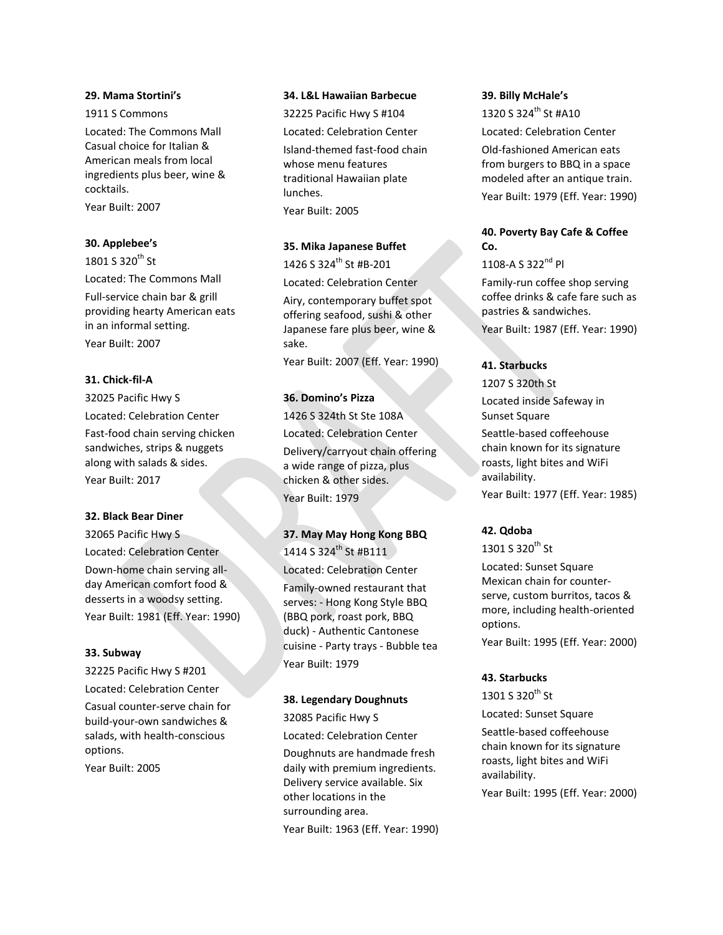#### **29. Mama Stortini's**

1911 S Commons Located: The Commons Mall Casual choice for Italian & American meals from local ingredients plus beer, wine & cocktails.

Year Built: 2007

#### **30. Applebee's**

1801 S 320<sup>th</sup> St Located: The Commons Mall Full-service chain bar & grill providing hearty American eats in an informal setting. Year Built: 2007

### **31. Chick-fil-A**

32025 Pacific Hwy S Located: Celebration Center Fast-food chain serving chicken sandwiches, strips & nuggets along with salads & sides. Year Built: 2017

#### **32. Black Bear Diner**

32065 Pacific Hwy S Located: Celebration Center Down-home chain serving allday American comfort food & desserts in a woodsy setting. Year Built: 1981 (Eff. Year: 1990)

#### **33. Subway**

32225 Pacific Hwy S #201 Located: Celebration Center Casual counter-serve chain for build-your-own sandwiches & salads, with health-conscious options.

Year Built: 2005

#### **34. L&L Hawaiian Barbecue**

32225 Pacific Hwy S #104 Located: Celebration Center Island-themed fast-food chain whose menu features traditional Hawaiian plate lunches. Year Built: 2005

#### **35. Mika Japanese Buffet**

1426 S 324<sup>th</sup> St #B-201

Located: Celebration Center

Airy, contemporary buffet spot offering seafood, sushi & other Japanese fare plus beer, wine & sake.

Year Built: 2007 (Eff. Year: 1990)

#### **36. Domino's Pizza**

1426 S 324th St Ste 108A Located: Celebration Center Delivery/carryout chain offering a wide range of pizza, plus chicken & other sides. Year Built: 1979

# **37. May May Hong Kong BBQ** 1414 S 324<sup>th</sup> St #B111

Located: Celebration Center

Family-owned restaurant that serves: - Hong Kong Style BBQ (BBQ pork, roast pork, BBQ duck) - Authentic Cantonese cuisine - Party trays - Bubble tea Year Built: 1979

#### **38. Legendary Doughnuts**

32085 Pacific Hwy S Located: Celebration Center Doughnuts are handmade fresh daily with premium ingredients. Delivery service available. Six other locations in the surrounding area.

Year Built: 1963 (Eff. Year: 1990)

#### **39. Billy McHale's**

1320 S 324th St #A10 Located: Celebration Center Old-fashioned American eats from burgers to BBQ in a space modeled after an antique train. Year Built: 1979 (Eff. Year: 1990)

## **40. Poverty Bay Cafe & Coffee Co.**

 $1108-A S 322^{nd} Pl$ 

Family-run coffee shop serving coffee drinks & cafe fare such as pastries & sandwiches.

Year Built: 1987 (Eff. Year: 1990)

## **41. Starbucks**

1207 S 320th St

Located inside Safeway in Sunset Square

Seattle-based coffeehouse chain known for its signature roasts, light bites and WiFi availability.

Year Built: 1977 (Eff. Year: 1985)

#### **42. Qdoba**

1301 S 320<sup>th</sup> St

Located: Sunset Square Mexican chain for counterserve, custom burritos, tacos & more, including health-oriented options.

Year Built: 1995 (Eff. Year: 2000)

#### **43. Starbucks**

1301 S 320<sup>th</sup> St

Located: Sunset Square Seattle-based coffeehouse chain known for its signature roasts, light bites and WiFi availability. Year Built: 1995 (Eff. Year: 2000)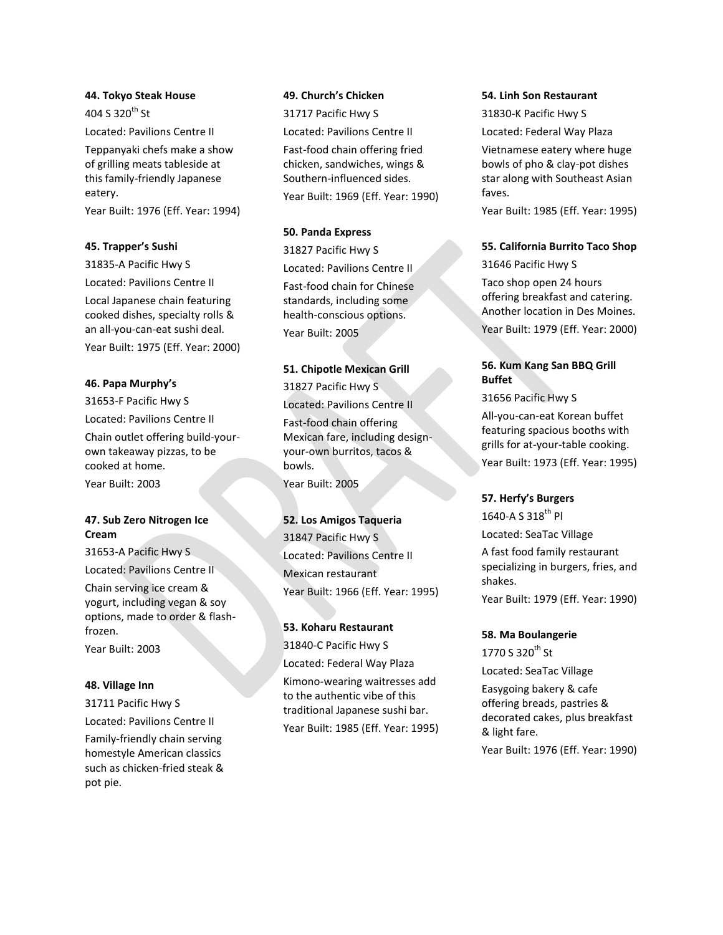### **44. Tokyo Steak House**

404 S 320<sup>th</sup> St Located: Pavilions Centre II

Teppanyaki chefs make a show of grilling meats tableside at this family-friendly Japanese eatery.

Year Built: 1976 (Eff. Year: 1994)

## **45. Trapper's Sushi**

31835-A Pacific Hwy S

Located: Pavilions Centre II

Local Japanese chain featuring cooked dishes, specialty rolls & an all-you-can-eat sushi deal.

Year Built: 1975 (Eff. Year: 2000)

## **46. Papa Murphy's**

31653-F Pacific Hwy S Located: Pavilions Centre II Chain outlet offering build-yourown takeaway pizzas, to be cooked at home. Year Built: 2003

## **47. Sub Zero Nitrogen Ice Cream**

31653-A Pacific Hwy S Located: Pavilions Centre II

Chain serving ice cream & yogurt, including vegan & soy options, made to order & flashfrozen.

Year Built: 2003

## **48. Village Inn**

31711 Pacific Hwy S

Located: Pavilions Centre II

Family-friendly chain serving homestyle American classics such as chicken-fried steak & pot pie.

## **49. Church's Chicken**

31717 Pacific Hwy S Located: Pavilions Centre II Fast-food chain offering fried chicken, sandwiches, wings & Southern-influenced sides. Year Built: 1969 (Eff. Year: 1990)

## **50. Panda Express**

31827 Pacific Hwy S Located: Pavilions Centre II

Fast-food chain for Chinese standards, including some health-conscious options. Year Built: 2005

## **51. Chipotle Mexican Grill**

31827 Pacific Hwy S Located: Pavilions Centre II Fast-food chain offering Mexican fare, including designyour-own burritos, tacos & bowls. Year Built: 2005

## **52. Los Amigos Taqueria**

31847 Pacific Hwy S Located: Pavilions Centre II Mexican restaurant Year Built: 1966 (Eff. Year: 1995)

# **53. Koharu Restaurant** 31840-C Pacific Hwy S Located: Federal Way Plaza Kimono-wearing waitresses add to the authentic vibe of this traditional Japanese sushi bar. Year Built: 1985 (Eff. Year: 1995)

### **54. Linh Son Restaurant**

31830-K Pacific Hwy S Located: Federal Way Plaza Vietnamese eatery where huge bowls of pho & clay-pot dishes star along with Southeast Asian faves. Year Built: 1985 (Eff. Year: 1995)

**55. California Burrito Taco Shop**

31646 Pacific Hwy S

Taco shop open 24 hours offering breakfast and catering. Another location in Des Moines. Year Built: 1979 (Eff. Year: 2000)

# **56. Kum Kang San BBQ Grill Buffet**

31656 Pacific Hwy S

All-you-can-eat Korean buffet featuring spacious booths with grills for at-your-table cooking.

Year Built: 1973 (Eff. Year: 1995)

## **57. Herfy's Burgers**

1640-A S 318<sup>th</sup> Pl Located: SeaTac Village A fast food family restaurant specializing in burgers, fries, and shakes. Year Built: 1979 (Eff. Year: 1990)

## **58. Ma Boulangerie**

1770 S 320<sup>th</sup> St Located: SeaTac Village Easygoing bakery & cafe offering breads, pastries & decorated cakes, plus breakfast & light fare. Year Built: 1976 (Eff. Year: 1990)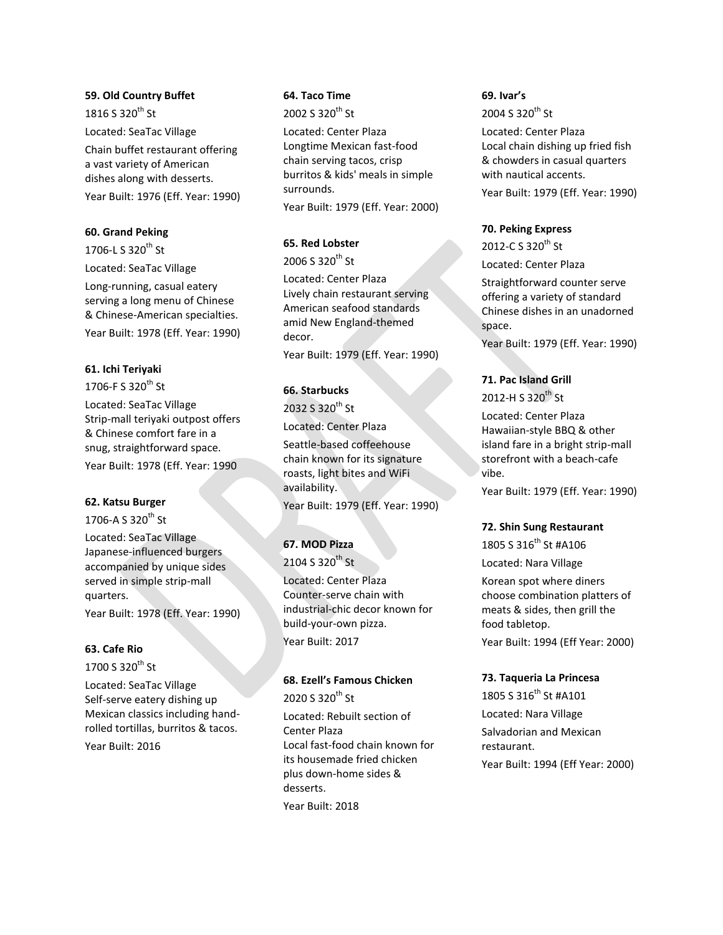### **59. Old Country Buffet**

1816 S 320<sup>th</sup> St Located: SeaTac Village Chain buffet restaurant offering a vast variety of American dishes along with desserts. Year Built: 1976 (Eff. Year: 1990)

## **60. Grand Peking**

1706-L S  $320^{th}$  St

Located: SeaTac Village

Long-running, casual eatery serving a long menu of Chinese & Chinese-American specialties. Year Built: 1978 (Eff. Year: 1990)

## **61. Ichi Teriyaki**

1706-F S 320 $^{\text{th}}$  St

Located: SeaTac Village Strip-mall teriyaki outpost offers & Chinese comfort fare in a snug, straightforward space.

Year Built: 1978 (Eff. Year: 1990

## **62. Katsu Burger**

1706-A S 320<sup>th</sup> St

Located: SeaTac Village Japanese-influenced burgers accompanied by unique sides served in simple strip-mall quarters. Year Built: 1978 (Eff. Year: 1990)

## **63. Cafe Rio**

1700 S 320<sup>th</sup> St

Located: SeaTac Village Self-serve eatery dishing up Mexican classics including handrolled tortillas, burritos & tacos.

Year Built: 2016

## **64. Taco Time**

2002 S 320<sup>th</sup> St

Located: Center Plaza Longtime Mexican fast-food chain serving tacos, crisp burritos & kids' meals in simple surrounds.

Year Built: 1979 (Eff. Year: 2000)

## **65. Red Lobster**

2006 S 320<sup>th</sup> St

Located: Center Plaza Lively chain restaurant serving American seafood standards amid New England-themed decor.

Year Built: 1979 (Eff. Year: 1990)

## **66. Starbucks**

2032 S 320<sup>th</sup> St Located: Center Plaza Seattle-based coffeehouse chain known for its signature roasts, light bites and WiFi availability. Year Built: 1979 (Eff. Year: 1990)

# **67. MOD Pizza**

2104 S 320<sup>th</sup> St Located: Center Plaza Counter-serve chain with industrial-chic decor known for build-your-own pizza. Year Built: 2017

## **68. Ezell's Famous Chicken**

 $2020 S 320$ <sup>th</sup> St

Located: Rebuilt section of Center Plaza Local fast-food chain known for its housemade fried chicken plus down-home sides & desserts. Year Built: 2018

## **69. Ivar's**

 $2004S320^{th}$  St Located: Center Plaza Local chain dishing up fried fish & chowders in casual quarters with nautical accents. Year Built: 1979 (Eff. Year: 1990)

## **70. Peking Express**

2012-C S 320<sup>th</sup> St Located: Center Plaza

Straightforward counter serve offering a variety of standard Chinese dishes in an unadorned space.

Year Built: 1979 (Eff. Year: 1990)

## **71. Pac Island Grill**

2012-H S 320<sup>th</sup> St

Located: Center Plaza Hawaiian-style BBQ & other island fare in a bright strip-mall storefront with a beach-cafe vibe.

Year Built: 1979 (Eff. Year: 1990)

## **72. Shin Sung Restaurant**

1805 S 316<sup>th</sup> St #A106 Located: Nara Village

Korean spot where diners choose combination platters of meats & sides, then grill the food tabletop.

Year Built: 1994 (Eff Year: 2000)

## **73. Taqueria La Princesa**

1805 S 316<sup>th</sup> St #A101 Located: Nara Village Salvadorian and Mexican restaurant. Year Built: 1994 (Eff Year: 2000)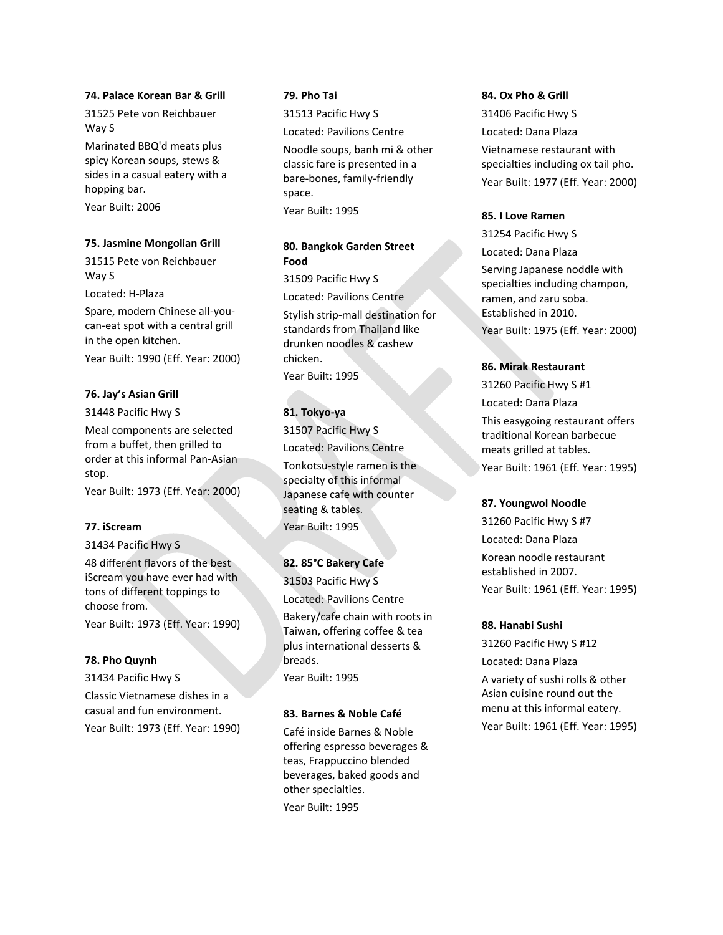#### **74. Palace Korean Bar & Grill**

31525 Pete von Reichbauer Way S

Marinated BBQ'd meats plus spicy Korean soups, stews & sides in a casual eatery with a hopping bar.

Year Built: 2006

#### **75. Jasmine Mongolian Grill**

31515 Pete von Reichbauer Way S

Located: H-Plaza

Spare, modern Chinese all-youcan-eat spot with a central grill in the open kitchen.

Year Built: 1990 (Eff. Year: 2000)

#### **76. Jay's Asian Grill**

31448 Pacific Hwy S

Meal components are selected from a buffet, then grilled to order at this informal Pan-Asian stop.

Year Built: 1973 (Eff. Year: 2000)

### **77. iScream**

31434 Pacific Hwy S 48 different flavors of the best iScream you have ever had with tons of different toppings to choose from. Year Built: 1973 (Eff. Year: 1990)

#### **78. Pho Quynh**

31434 Pacific Hwy S Classic Vietnamese dishes in a casual and fun environment. Year Built: 1973 (Eff. Year: 1990)

## **79. Pho Tai**

31513 Pacific Hwy S Located: Pavilions Centre

Noodle soups, banh mi & other classic fare is presented in a bare-bones, family-friendly space. Year Built: 1995

## **80. Bangkok Garden Street Food**

31509 Pacific Hwy S Located: Pavilions Centre Stylish strip-mall destination for standards from Thailand like drunken noodles & cashew chicken. Year Built: 1995

## **81. Tokyo-ya**

31507 Pacific Hwy S Located: Pavilions Centre

Tonkotsu-style ramen is the specialty of this informal Japanese cafe with counter seating & tables.

Year Built: 1995

### **82. 85°C Bakery Cafe**

31503 Pacific Hwy S Located: Pavilions Centre Bakery/cafe chain with roots in Taiwan, offering coffee & tea plus international desserts & breads. Year Built: 1995

### **83. Barnes & Noble Café**

Café inside Barnes & Noble offering espresso beverages & teas, Frappuccino blended beverages, baked goods and other specialties.

Year Built: 1995

#### **84. Ox Pho & Grill**

31406 Pacific Hwy S Located: Dana Plaza Vietnamese restaurant with specialties including ox tail pho. Year Built: 1977 (Eff. Year: 2000)

#### **85. I Love Ramen**

31254 Pacific Hwy S Located: Dana Plaza Serving Japanese noddle with specialties including champon, ramen, and zaru soba. Established in 2010. Year Built: 1975 (Eff. Year: 2000)

#### **86. Mirak Restaurant**

31260 Pacific Hwy S #1 Located: Dana Plaza This easygoing restaurant offers traditional Korean barbecue meats grilled at tables. Year Built: 1961 (Eff. Year: 1995)

#### **87. Youngwol Noodle**

31260 Pacific Hwy S #7 Located: Dana Plaza Korean noodle restaurant established in 2007. Year Built: 1961 (Eff. Year: 1995)

#### **88. Hanabi Sushi**

31260 Pacific Hwy S #12 Located: Dana Plaza A variety of sushi rolls & other Asian cuisine round out the menu at this informal eatery. Year Built: 1961 (Eff. Year: 1995)